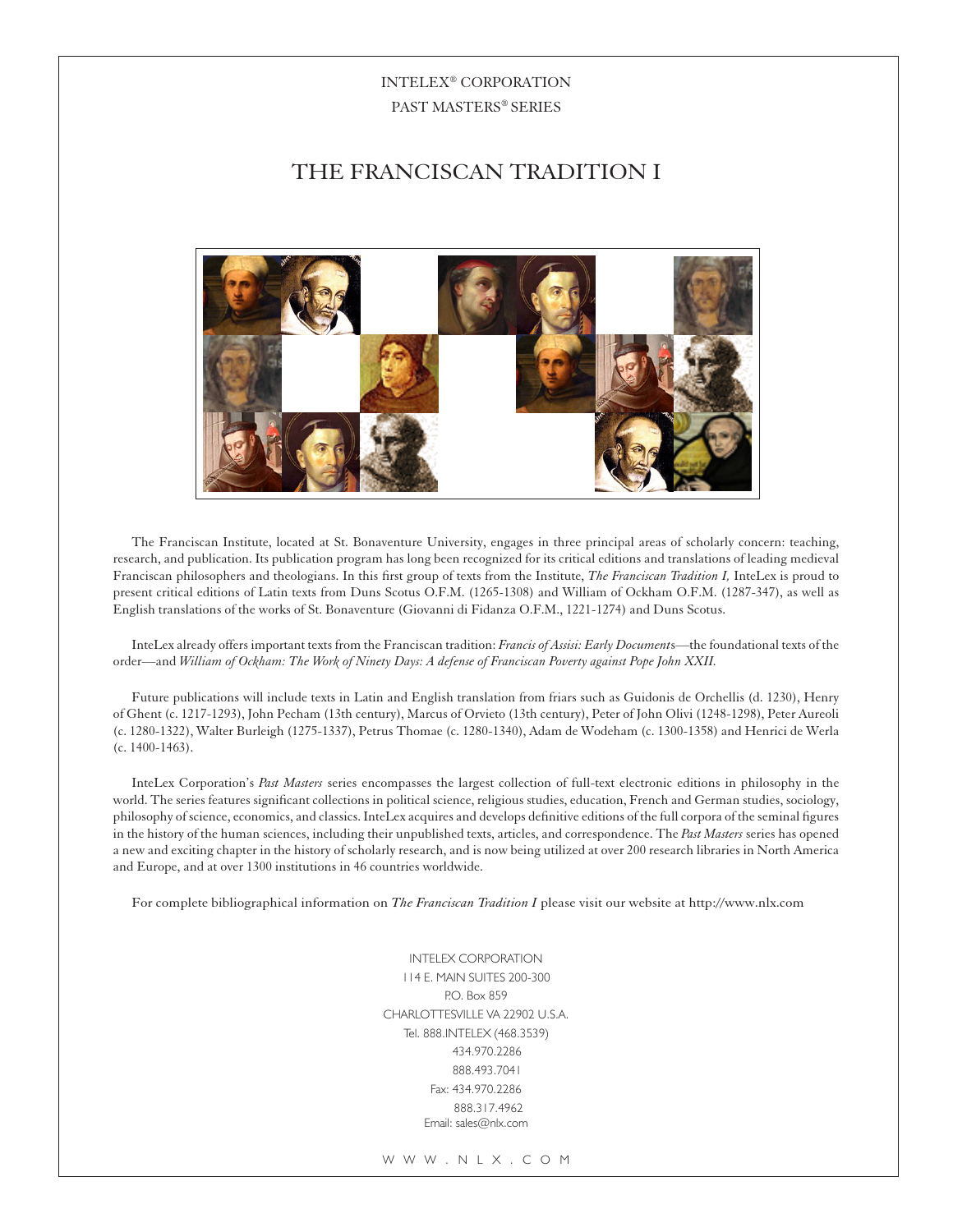## INTELEX® CORPORATION PAST MASTERS® SERIES

# the FRANCISCAN TRADITION I



The Franciscan Institute, located at St. Bonaventure University, engages in three principal areas of scholarly concern: teaching, research, and publication. Its publication program has long been recognized for its critical editions and translations of leading medieval Franciscan philosophers and theologians. In this first group of texts from the Institute, *The Franciscan Tradition I,* InteLex is proud to present critical editions of Latin texts from Duns Scotus O.F.M. (1265-1308) and William of Ockham O.F.M. (1287-347), as well as English translations of the works of St. Bonaventure (Giovanni di Fidanza O.F.M., 1221-1274) and Duns Scotus.

InteLex already offers important texts from the Franciscan tradition: *Francis of Assisi: Early Document*s—the foundational texts of the order—and *William of Ockham: The Work of Ninety Days: A defense of Franciscan Poverty against Pope John XXII.*

Future publications will include texts in Latin and English translation from friars such as Guidonis de Orchellis (d. 1230), Henry of Ghent (c. 1217-1293), John Pecham (13th century), Marcus of Orvieto (13th century), Peter of John Olivi (1248-1298), Peter Aureoli (c. 1280-1322), Walter Burleigh (1275-1337), Petrus Thomae (c. 1280-1340), Adam de Wodeham (c. 1300-1358) and Henrici de Werla (c. 1400-1463).

InteLex Corporation's *Past Masters* series encompasses the largest collection of full-text electronic editions in philosophy in the world. The series features significant collections in political science, religious studies, education, French and German studies, sociology, philosophy of science, economics, and classics. InteLex acquires and develops definitive editions of the full corpora of the seminal figures in the history of the human sciences, including their unpublished texts, articles, and correspondence. The *Past Masters* series has opened a new and exciting chapter in the history of scholarly research, and is now being utilized at over 200 research libraries in North America and Europe, and at over 1300 institutions in 46 countries worldwide.

For complete bibliographical information on *The Franciscan Tradition I* please visit our website at http://www.nlx.com

INTELEX CORPORATION 114 E. MAIN SUITES 200-300 P.O. Box 859 CHARLOTTESVILLE VA 22902 U.S.A. Tel. 888.INTELEX (468.3539) 434.970.2286 888.493.7041 Fax: 434.970.2286 888.317.4962 Email: sales@nlx.com

W W W . N L X . C O M